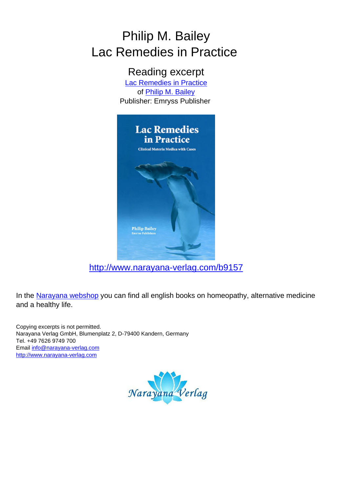# Philip M. Bailey Lac Remedies in Practice

### Reading excerpt

[Lac Remedies in Practice](http://www.narayana-verlag.com/Lac-Remedies-in-Practice-Philip-M-Bailey/b9157/partner/leseprobe) of [Philip M. Bailey](http://www.narayana-verlag.com/Philip-M-Bailey/a30/partner/leseprobe) Publisher: Emryss Publisher



[http://www.narayana-verlag.com/b9157](http://www.narayana-verlag.com/Lac-Remedies-in-Practice-Philip-M-Bailey/b9157/partner/leseprobe)

In the [Narayana webshop](http://www.narayana-verlag.com/partner/leseprobe) you can find all english books on homeopathy, alternative medicine and a healthy life.

Copying excerpts is not permitted. Narayana Verlag GmbH, Blumenplatz 2, D-79400 Kandern, Germany Tel. +49 7626 9749 700 Email [info@narayana-verlag.com](mailto:info@narayana-verlag.com) [http://www.narayana-verlag.com](http://www.narayana-verlag.com/partner/leseprobe)

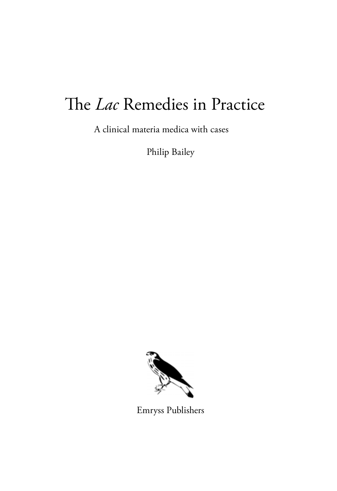# The *Lac* Remedies in Practice

A clinical materia medica with cases

Philip Bailey



Emryss Publishers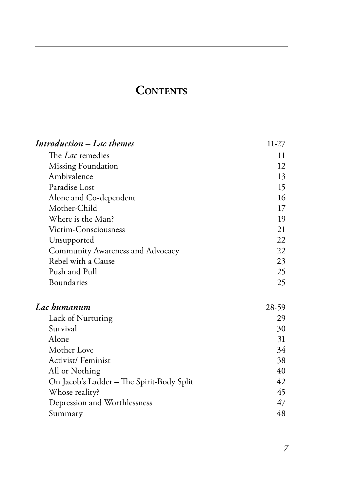## **CONTENTS**

| <b>Introduction – Lac themes</b>          | 11-27 |
|-------------------------------------------|-------|
| The Lac remedies                          | 11    |
| Missing Foundation                        | 12    |
| Ambivalence                               | 13    |
| Paradise Lost                             | 15    |
| Alone and Co-dependent                    | 16    |
| Mother-Child                              | 17    |
| Where is the Man?                         | 19    |
| Victim-Consciousness                      | 21    |
| Unsupported                               | 22    |
| Community Awareness and Advocacy          | 22    |
| Rebel with a Cause                        | 23    |
| Push and Pull                             | 25    |
| <b>Boundaries</b>                         | 25    |
| Lac humanum                               | 28-59 |
| Lack of Nurturing                         | 29    |
| Survival                                  | 30    |
| Alone                                     | 31    |
| Mother Love                               | 34    |
| Activist/Feminist                         | 38    |
| All or Nothing                            | 40    |
| On Jacob's Ladder - The Spirit-Body Split | 42    |
| Whose reality?                            | 45    |
| Depression and Worthlessness              | 47    |
| Summary                                   | 48    |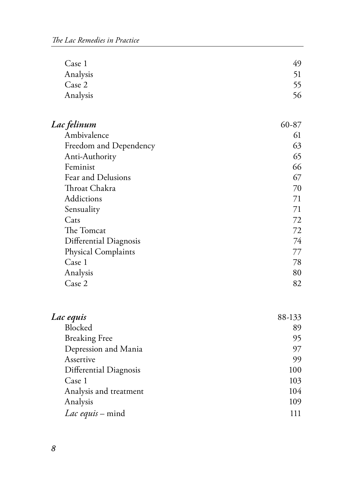| Case 1                 | 49     |
|------------------------|--------|
| Analysis               | 51     |
| Case 2                 | 55     |
| Analysis               | 56     |
| Lac felinum            | 60-87  |
| Ambivalence            | 61     |
| Freedom and Dependency | 63     |
| Anti-Authority         | 65     |
| Feminist               | 66     |
| Fear and Delusions     | 67     |
| Throat Chakra          | 70     |
| <b>Addictions</b>      | 71     |
| Sensuality             | 71     |
| Cats                   | 72     |
| The Tomcat             | 72     |
| Differential Diagnosis | 74     |
| Physical Complaints    | 77     |
| Case 1                 | 78     |
| Analysis               | 80     |
| Case 2                 | 82     |
|                        |        |
| Lac equis              | 88-133 |
| Blocked                | 89     |
| <b>Breaking Free</b>   | 95     |
| Depression and Mania   | 97     |
| Assertive              | 99     |
| Differential Diagnosis | 100    |
| Case 1                 | 103    |
| Analysis and treatment | 104    |
| Analysis               | 109    |
| Lac equis – mind       | 111    |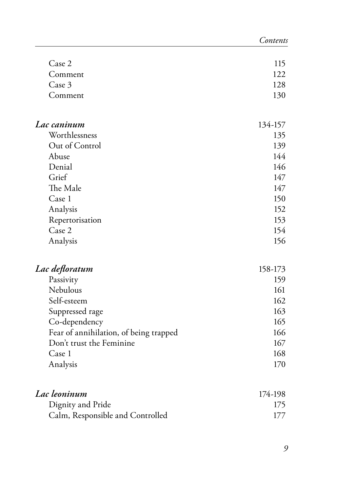|                                        | Contents |
|----------------------------------------|----------|
| Case 2                                 | 115      |
| Comment                                | 122      |
| Case 3                                 | 128      |
| Comment                                | 130      |
| Lac caninum                            | 134-157  |
| Worthlessness                          | 135      |
| Out of Control                         | 139      |
| Abuse                                  | 144      |
| Denial                                 | 146      |
| Grief                                  | 147      |
| The Male                               | 147      |
| Case 1                                 | 150      |
| Analysis                               | 152      |
| Repertorisation                        | 153      |
| Case 2                                 | 154      |
| Analysis                               | 156      |
| Lac defloratum                         | 158-173  |
| Passivity                              | 159      |
| Nebulous                               | 161      |
| Self-esteem                            | 162      |
| Suppressed rage                        | 163      |
| Co-dependency                          | 165      |
| Fear of annihilation, of being trapped | 166      |
| Don't trust the Feminine               | 167      |
| Case 1                                 | 168      |
| Analysis                               | 170      |
| Lac leoninum                           | 174-198  |
| Dignity and Pride                      | 175      |
| Calm, Responsible and Controlled       | 177      |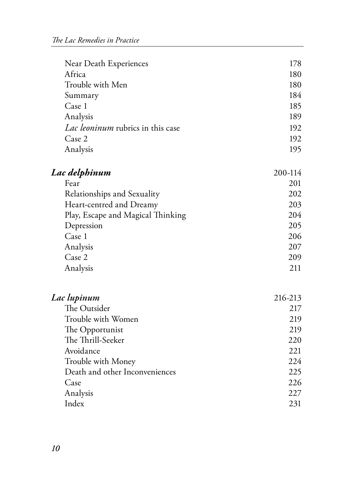| Near Death Experiences            | 178     |
|-----------------------------------|---------|
| Africa                            | 180     |
| Trouble with Men                  | 180     |
| Summary                           | 184     |
| Case 1                            | 185     |
| Analysis                          | 189     |
| Lac leoninum rubrics in this case | 192     |
| Case 2                            | 192     |
| Analysis                          | 195     |
| Lac delphinum                     | 200-114 |
| Fear                              | 201     |
| Relationships and Sexuality       | 202     |
| Heart-centred and Dreamy          | 203     |
| Play, Escape and Magical Thinking | 204     |
| Depression                        | 205     |
| Case 1                            | 206     |
| Analysis                          | 207     |
| Case 2                            | 209     |
| Analysis                          | 211     |
| Lac lupinum                       | 216-213 |
| The Outsider                      | 217     |
| Trouble with Women                | 219     |
| The Opportunist                   | 219     |
| The Thrill-Seeker                 | 220     |
| Avoidance                         | 221     |
| Trouble with Money                | 224     |
| Death and other Inconveniences    | 225     |
| Case                              | 226     |
| Analysis                          | 227     |
| Index                             | 231     |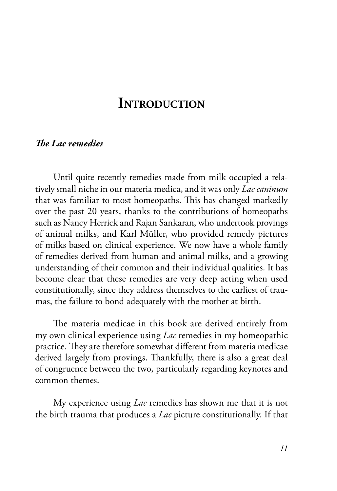## **INTRODUCTION**

#### *The Lac remedies*

Until quite recently remedies made from milk occupied a relatively small niche in our materia medica, and it was only *Lac caninum* that was familiar to most homeopaths. This has changed markedly over the past 20 years, thanks to the contributions of homeopaths such as Nancy Herrick and Rajan Sankaran, who undertook provings of animal milks, and Karl Müller, who provided remedy pictures of milks based on clinical experience. We now have a whole family of remedies derived from human and animal milks, and a growing understanding of their common and their individual qualities. It has become clear that these remedies are very deep acting when used constitutionally, since they address themselves to the earliest of traumas, the failure to bond adequately with the mother at birth.

The materia medicae in this book are derived entirely from my own clinical experience using *Lac* remedies in my homeopathic practice. They are therefore somewhat different from materia medicae derived largely from provings. Thankfully, there is also a great deal of congruence between the two, particularly regarding keynotes and common themes.

My experience using *Lac* remedies has shown me that it is not the birth trauma that produces a *Lac* picture constitutionally. If that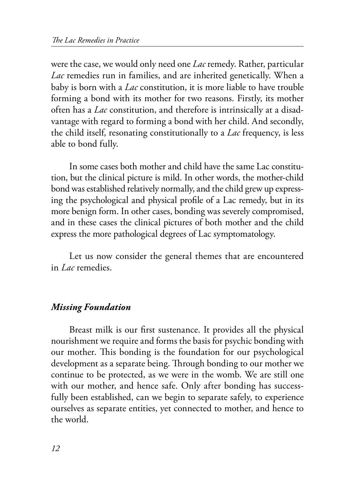were the case, we would only need one *Lac* remedy. Rather, particular *Lac* remedies run in families, and are inherited genetically. When a baby is born with a *Lac* constitution, it is more liable to have trouble forming a bond with its mother for two reasons. Firstly, its mother often has a *Lac* constitution, and therefore is intrinsically at a disadvantage with regard to forming a bond with her child. And secondly, the child itself, resonating constitutionally to a *Lac* frequency, is less able to bond fully.

In some cases both mother and child have the same Lac constitution, but the clinical picture is mild. In other words, the mother-child bond was established relatively normally, and the child grew up expressing the psychological and physical profile of a Lac remedy, but in its more benign form. In other cases, bonding was severely compromised, and in these cases the clinical pictures of both mother and the child express the more pathological degrees of Lac symptomatology.

Let us now consider the general themes that are encountered in *Lac* remedies.

#### *Missing Foundation*

Breast milk is our first sustenance. It provides all the physical nourishment we require and forms the basis for psychic bonding with our mother. This bonding is the foundation for our psychological development as a separate being. Through bonding to our mother we continue to be protected, as we were in the womb. We are still one with our mother, and hence safe. Only after bonding has successfully been established, can we begin to separate safely, to experience ourselves as separate entities, yet connected to mother, and hence to the world.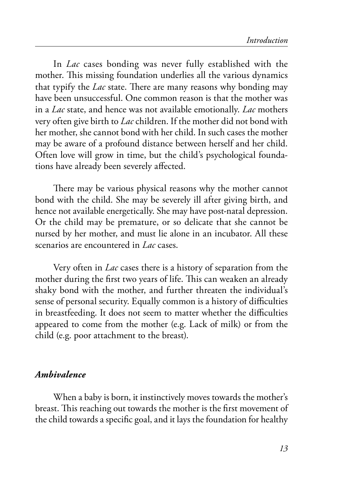In *Lac* cases bonding was never fully established with the mother. This missing foundation underlies all the various dynamics that typify the  $Lac$  state. There are many reasons why bonding may have been unsuccessful. One common reason is that the mother was in a *Lac* state, and hence was not available emotionally. *Lac* mothers very often give birth to *Lac* children. If the mother did not bond with her mother, she cannot bond with her child. In such cases the mother may be aware of a profound distance between herself and her child. Often love will grow in time, but the child's psychological foundations have already been severely affected.

There may be various physical reasons why the mother cannot bond with the child. She may be severely ill after giving birth, and hence not available energetically. She may have post-natal depression. Or the child may be premature, or so delicate that she cannot be nursed by her mother, and must lie alone in an incubator. All these scenarios are encountered in *Lac* cases.

Very often in *Lac* cases there is a history of separation from the mother during the first two years of life. This can weaken an already shaky bond with the mother, and further threaten the individual's sense of personal security. Equally common is a history of difficulties in breastfeeding. It does not seem to matter whether the difficulties appeared to come from the mother (e.g. Lack of milk) or from the child (e.g. poor attachment to the breast).

#### *Ambivalence*

When a baby is born, it instinctively moves towards the mother's breast. This reaching out towards the mother is the first movement of the child towards a specific goal, and it lays the foundation for healthy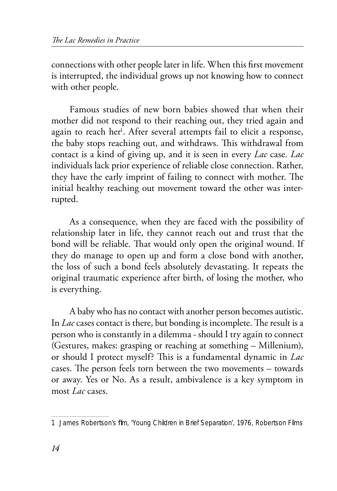connections with other people later in life. When this first movement is interrupted, the individual grows up not knowing how to connect with other people.

Famous studies of new born babies showed that when their mother did not respond to their reaching out, they tried again and again to reach her<sup>1</sup>. After several attempts fail to elicit a response, the baby stops reaching out, and withdraws. This withdrawal from contact is a kind of giving up, and it is seen in every *Lac* case. *Lac*  individuals lack prior experience of reliable close connection. Rather, they have the early imprint of failing to connect with mother. The initial healthy reaching out movement toward the other was interrupted.

As a consequence, when they are faced with the possibility of relationship later in life, they cannot reach out and trust that the bond will be reliable. That would only open the original wound. If they do manage to open up and form a close bond with another, the loss of such a bond feels absolutely devastating. It repeats the original traumatic experience after birth, of losing the mother, who is everything.

A baby who has no contact with another person becomes autistic. In *Lac* cases contact is there, but bonding is incomplete. The result is a person who is constantly in a dilemma - should I try again to connect (Gestures, makes: grasping or reaching at something – Millenium), or should I protect myself? This is a fundamental dynamic in *Lac* cases. The person feels torn between the two movements – towards or away. Yes or No. As a result, ambivalence is a key symptom in most *Lac* cases.

*<sup>1</sup> James Robertson's fi lm, 'Young Children in Brief Separation', 1976, Robertson Films*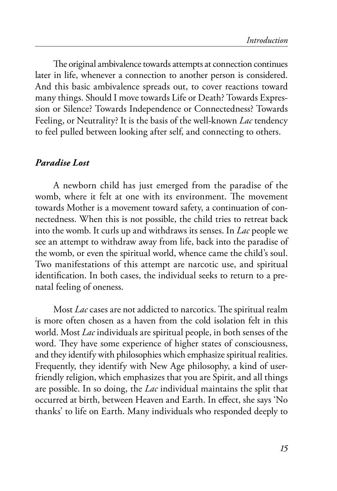The original ambivalence towards attempts at connection continues later in life, whenever a connection to another person is considered. And this basic ambivalence spreads out, to cover reactions toward many things. Should I move towards Life or Death? Towards Expression or Silence? Towards Independence or Connectedness? Towards Feeling, or Neutrality? It is the basis of the well-known *Lac* tendency to feel pulled between looking after self, and connecting to others.

#### *Paradise Lost*

A newborn child has just emerged from the paradise of the womb, where it felt at one with its environment. The movement towards Mother is a movement toward safety, a continuation of connectedness. When this is not possible, the child tries to retreat back into the womb. It curls up and withdraws its senses. In *Lac* people we see an attempt to withdraw away from life, back into the paradise of the womb, or even the spiritual world, whence came the child's soul. Two manifestations of this attempt are narcotic use, and spiritual identification. In both cases, the individual seeks to return to a prenatal feeling of oneness.

Most *Lac* cases are not addicted to narcotics. The spiritual realm is more often chosen as a haven from the cold isolation felt in this world. Most *Lac* individuals are spiritual people, in both senses of the word. They have some experience of higher states of consciousness, and they identify with philosophies which emphasize spiritual realities. Frequently, they identify with New Age philosophy, a kind of userfriendly religion, which emphasizes that you are Spirit, and all things are possible. In so doing, the *Lac* individual maintains the split that occurred at birth, between Heaven and Earth. In effect, she says 'No thanks' to life on Earth. Many individuals who responded deeply to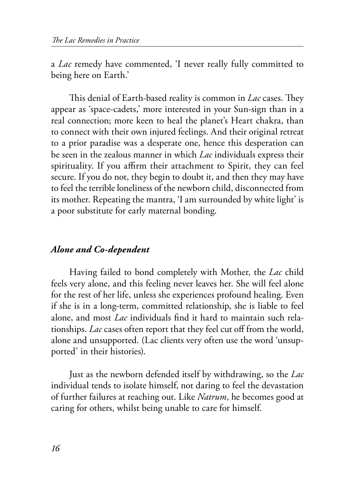a *Lac* remedy have commented, 'I never really fully committed to being here on Earth.'

This denial of Earth-based reality is common in *Lac* cases. They appear as 'space-cadets,' more interested in your Sun-sign than in a real connection; more keen to heal the planet's Heart chakra, than to connect with their own injured feelings. And their original retreat to a prior paradise was a desperate one, hence this desperation can be seen in the zealous manner in which *Lac* individuals express their spirituality. If you affirm their attachment to Spirit, they can feel secure. If you do not, they begin to doubt it, and then they may have to feel the terrible loneliness of the newborn child, disconnected from its mother. Repeating the mantra, 'I am surrounded by white light' is a poor substitute for early maternal bonding.

#### *Alone and Co-dependent*

Having failed to bond completely with Mother, the *Lac* child feels very alone, and this feeling never leaves her. She will feel alone for the rest of her life, unless she experiences profound healing. Even if she is in a long-term, committed relationship, she is liable to feel alone, and most *Lac* individuals find it hard to maintain such relationships. *Lac* cases often report that they feel cut off from the world, alone and unsupported. (Lac clients very often use the word 'unsupported' in their histories).

Just as the newborn defended itself by withdrawing, so the *Lac*  individual tends to isolate himself, not daring to feel the devastation of further failures at reaching out. Like *Natrum*, he becomes good at caring for others, whilst being unable to care for himself.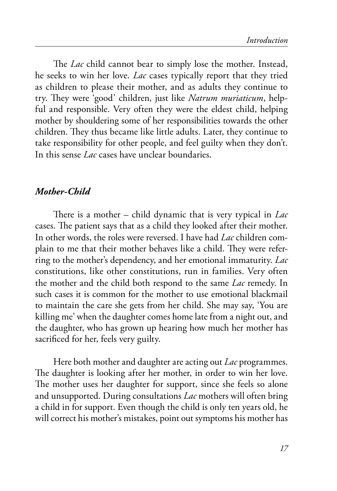The *Lac* child cannot bear to simply lose the mother. Instead, he seeks to win her love. *Lac* cases typically report that they tried as children to please their mother, and as adults they continue to try. They were 'good' children, just like *Natrum muriaticum*, helpful and responsible. Very often they were the eldest child, helping mother by shouldering some of her responsibilities towards the other children. They thus became like little adults. Later, they continue to take responsibility for other people, and feel guilty when they don't. In this sense *Lac* cases have unclear boundaries.

#### *Mother-Child*

There is a mother – child dynamic that is very typical in *Lac* cases. The patient says that as a child they looked after their mother. In other words, the roles were reversed. I have had *Lac* children complain to me that their mother behaves like a child. They were referring to the mother's dependency, and her emotional immaturity. *Lac*  constitutions, like other constitutions, run in families. Very often the mother and the child both respond to the same *Lac* remedy. In such cases it is common for the mother to use emotional blackmail to maintain the care she gets from her child. She may say, 'You are killing me' when the daughter comes home late from a night out, and the daughter, who has grown up hearing how much her mother has sacrificed for her, feels very guilty.

Here both mother and daughter are acting out *Lac* programmes. The daughter is looking after her mother, in order to win her love. The mother uses her daughter for support, since she feels so alone and unsupported. During consultations *Lac* mothers will often bring a child in for support. Even though the child is only ten years old, he will correct his mother's mistakes, point out symptoms his mother has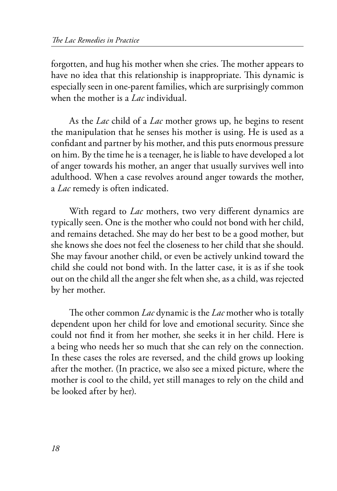forgotten, and hug his mother when she cries. The mother appears to have no idea that this relationship is inappropriate. This dynamic is especially seen in one-parent families, which are surprisingly common when the mother is a *Lac* individual.

As the *Lac* child of a *Lac* mother grows up, he begins to resent the manipulation that he senses his mother is using. He is used as a confidant and partner by his mother, and this puts enormous pressure on him. By the time he is a teenager, he is liable to have developed a lot of anger towards his mother, an anger that usually survives well into adulthood. When a case revolves around anger towards the mother, a *Lac* remedy is often indicated.

With regard to *Lac* mothers, two very different dynamics are typically seen. One is the mother who could not bond with her child, and remains detached. She may do her best to be a good mother, but she knows she does not feel the closeness to her child that she should. She may favour another child, or even be actively unkind toward the child she could not bond with. In the latter case, it is as if she took out on the child all the anger she felt when she, as a child, was rejected by her mother.

The other common *Lac* dynamic is the *Lac* mother who is totally dependent upon her child for love and emotional security. Since she could not find it from her mother, she seeks it in her child. Here is a being who needs her so much that she can rely on the connection. In these cases the roles are reversed, and the child grows up looking after the mother. (In practice, we also see a mixed picture, where the mother is cool to the child, yet still manages to rely on the child and be looked after by her).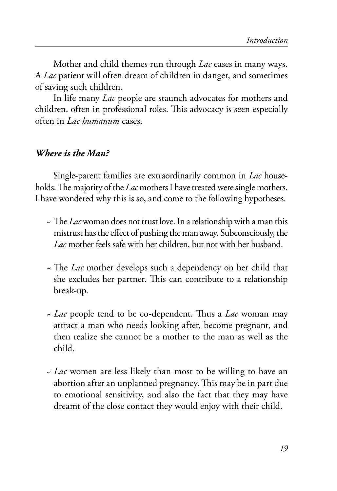Mother and child themes run through *Lac* cases in many ways. A *Lac* patient will often dream of children in danger, and sometimes of saving such children.

In life many *Lac* people are staunch advocates for mothers and children, often in professional roles. This advocacy is seen especially often in *Lac humanum* cases.

#### *Where is the Man?*

 Single-parent families are extraordinarily common in *Lac* households. The majority of the *Lac* mothers I have treated were single mothers. I have wondered why this is so, and come to the following hypotheses.

- ~ The *Lac* woman does not trust love. In a relationship with a man this mistrust has the effect of pushing the man away. Subconsciously, the *Lac* mother feels safe with her children, but not with her husband.
- ~ The *Lac* mother develops such a dependency on her child that she excludes her partner. This can contribute to a relationship break-up.
- ~ *Lac* people tend to be co-dependent. Th us a *Lac* woman may attract a man who needs looking after, become pregnant, and then realize she cannot be a mother to the man as well as the child.
- ~ *Lac* women are less likely than most to be willing to have an abortion after an unplanned pregnancy. This may be in part due to emotional sensitivity, and also the fact that they may have dreamt of the close contact they would enjoy with their child.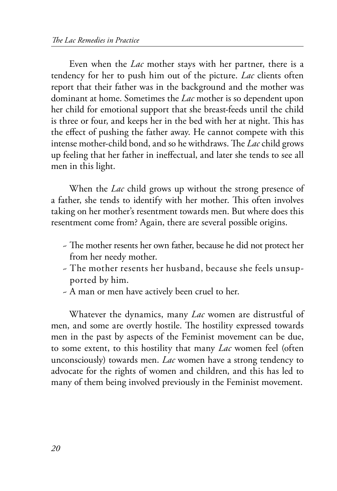Even when the *Lac* mother stays with her partner, there is a tendency for her to push him out of the picture. *Lac* clients often report that their father was in the background and the mother was dominant at home. Sometimes the *Lac* mother is so dependent upon her child for emotional support that she breast-feeds until the child is three or four, and keeps her in the bed with her at night. This has the effect of pushing the father away. He cannot compete with this intense mother-child bond, and so he withdraws. The *Lac* child grows up feeling that her father in ineffectual, and later she tends to see all men in this light.

When the *Lac* child grows up without the strong presence of a father, she tends to identify with her mother. This often involves taking on her mother's resentment towards men. But where does this resentment come from? Again, there are several possible origins.

- ~ The mother resents her own father, because he did not protect her from her needy mother.
- ~ The mother resents her husband, because she feels unsupported by him.
- ~ A man or men have actively been cruel to her.

Whatever the dynamics, many *Lac* women are distrustful of men, and some are overtly hostile. The hostility expressed towards men in the past by aspects of the Feminist movement can be due, to some extent, to this hostility that many *Lac* women feel (often unconsciously) towards men. *Lac* women have a strong tendency to advocate for the rights of women and children, and this has led to many of them being involved previously in the Feminist movement.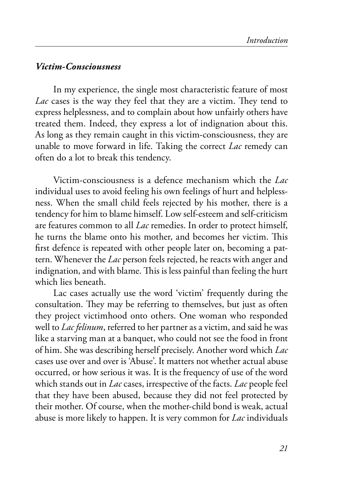#### *Victim-Consciousness*

In my experience, the single most characteristic feature of most *Lac* cases is the way they feel that they are a victim. They tend to express helplessness, and to complain about how unfairly others have treated them. Indeed, they express a lot of indignation about this. As long as they remain caught in this victim-consciousness, they are unable to move forward in life. Taking the correct *Lac* remedy can often do a lot to break this tendency.

Victim-consciousness is a defence mechanism which the *Lac*  individual uses to avoid feeling his own feelings of hurt and helplessness. When the small child feels rejected by his mother, there is a tendency for him to blame himself. Low self-esteem and self-criticism are features common to all *Lac* remedies. In order to protect himself, he turns the blame onto his mother, and becomes her victim. This first defence is repeated with other people later on, becoming a pattern. Whenever the *Lac* person feels rejected, he reacts with anger and indignation, and with blame. This is less painful than feeling the hurt which lies beneath.

Lac cases actually use the word 'victim' frequently during the consultation. They may be referring to themselves, but just as often they project victimhood onto others. One woman who responded well to *Lac felinum*, referred to her partner as a victim, and said he was like a starving man at a banquet, who could not see the food in front of him. She was describing herself precisely. Another word which *Lac*  cases use over and over is 'Abuse'. It matters not whether actual abuse occurred, or how serious it was. It is the frequency of use of the word which stands out in *Lac* cases, irrespective of the facts. *Lac* people feel that they have been abused, because they did not feel protected by their mother. Of course, when the mother-child bond is weak, actual abuse is more likely to happen. It is very common for *Lac* individuals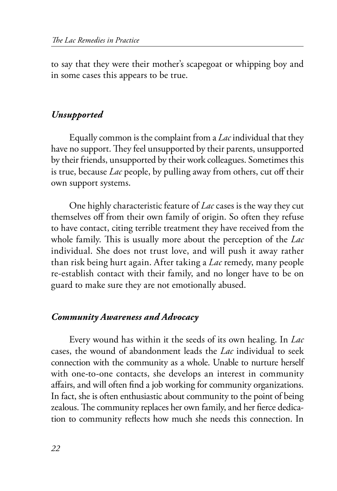to say that they were their mother's scapegoat or whipping boy and in some cases this appears to be true.

#### *Unsupported*

Equally common is the complaint from a *Lac* individual that they have no support. They feel unsupported by their parents, unsupported by their friends, unsupported by their work colleagues. Sometimes this is true, because *Lac* people, by pulling away from others, cut off their own support systems.

One highly characteristic feature of *Lac* cases is the way they cut themselves off from their own family of origin. So often they refuse to have contact, citing terrible treatment they have received from the whole family. This is usually more about the perception of the *Lac* individual. She does not trust love, and will push it away rather than risk being hurt again. After taking a *Lac* remedy, many people re-establish contact with their family, and no longer have to be on guard to make sure they are not emotionally abused.

#### *Community Awareness and Advocacy*

Every wound has within it the seeds of its own healing. In *Lac*  cases, the wound of abandonment leads the *Lac* individual to seek connection with the community as a whole. Unable to nurture herself with one-to-one contacts, she develops an interest in community affairs, and will often find a job working for community organizations. In fact, she is often enthusiastic about community to the point of being zealous. The community replaces her own family, and her fierce dedication to community reflects how much she needs this connection. In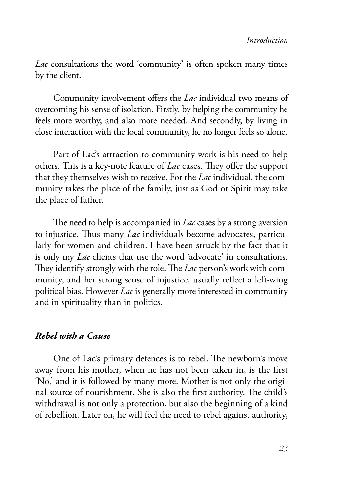*Lac* consultations the word 'community' is often spoken many times by the client.

Community involvement offers the *Lac* individual two means of overcoming his sense of isolation. Firstly, by helping the community he feels more worthy, and also more needed. And secondly, by living in close interaction with the local community, he no longer feels so alone.

Part of Lac's attraction to community work is his need to help others. This is a key-note feature of *Lac* cases. They offer the support that they themselves wish to receive. For the *Lac* individual, the community takes the place of the family, just as God or Spirit may take the place of father.

The need to help is accompanied in *Lac* cases by a strong aversion to injustice. Thus many *Lac* individuals become advocates, particularly for women and children. I have been struck by the fact that it is only my *Lac* clients that use the word 'advocate' in consultations. They identify strongly with the role. The *Lac* person's work with community, and her strong sense of injustice, usually reflect a left-wing political bias. However *Lac* is generally more interested in community and in spirituality than in politics.

#### *Rebel with a Cause*

One of Lac's primary defences is to rebel. The newborn's move away from his mother, when he has not been taken in, is the first 'No,' and it is followed by many more. Mother is not only the original source of nourishment. She is also the first authority. The child's withdrawal is not only a protection, but also the beginning of a kind of rebellion. Later on, he will feel the need to rebel against authority,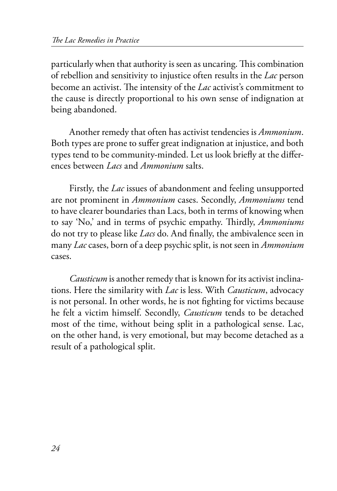particularly when that authority is seen as uncaring. This combination of rebellion and sensitivity to injustice often results in the *Lac* person become an activist. The intensity of the *Lac* activist's commitment to the cause is directly proportional to his own sense of indignation at being abandoned.

Another remedy that often has activist tendencies is *Ammonium*. Both types are prone to suffer great indignation at injustice, and both types tend to be community-minded. Let us look briefly at the differences between *Lacs* and *Ammonium* salts.

Firstly, the *Lac* issues of abandonment and feeling unsupported are not prominent in *Ammonium* cases. Secondly, *Ammoniums* tend to have clearer boundaries than Lacs, both in terms of knowing when to say 'No,' and in terms of psychic empathy. Thirdly, *Ammoniums* do not try to please like *Lacs* do. And finally, the ambivalence seen in many *Lac* cases, born of a deep psychic split, is not seen in *Ammonium* cases.

*Causticum* is another remedy that is known for its activist inclinations. Here the similarity with *Lac* is less. With *Causticum*, advocacy is not personal. In other words, he is not fighting for victims because he felt a victim himself. Secondly, *Causticum* tends to be detached most of the time, without being split in a pathological sense. Lac, on the other hand, is very emotional, but may become detached as a result of a pathological split.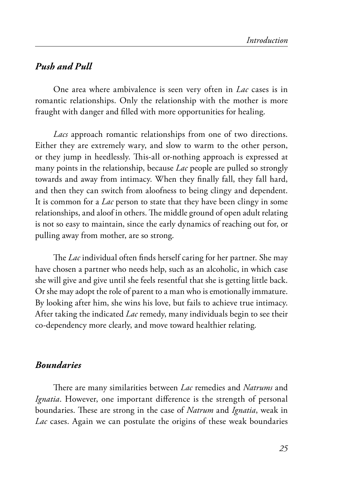#### *Push and Pull*

One area where ambivalence is seen very often in *Lac* cases is in romantic relationships. Only the relationship with the mother is more fraught with danger and filled with more opportunities for healing.

*Lacs* approach romantic relationships from one of two directions. Either they are extremely wary, and slow to warm to the other person, or they jump in heedlessly. This-all or-nothing approach is expressed at many points in the relationship, because *Lac* people are pulled so strongly towards and away from intimacy. When they finally fall, they fall hard, and then they can switch from aloofness to being clingy and dependent. It is common for a *Lac* person to state that they have been clingy in some relationships, and aloof in others. The middle ground of open adult relating is not so easy to maintain, since the early dynamics of reaching out for, or pulling away from mother, are so strong.

The *Lac* individual often finds herself caring for her partner. She may have chosen a partner who needs help, such as an alcoholic, in which case she will give and give until she feels resentful that she is getting little back. Or she may adopt the role of parent to a man who is emotionally immature. By looking after him, she wins his love, but fails to achieve true intimacy. After taking the indicated *Lac* remedy, many individuals begin to see their co-dependency more clearly, and move toward healthier relating.

#### *Boundaries*

There are many similarities between *Lac* remedies and *Natrums* and *Ignatia*. However, one important difference is the strength of personal boundaries. These are strong in the case of *Natrum* and *Ignatia*, weak in *Lac* cases. Again we can postulate the origins of these weak boundaries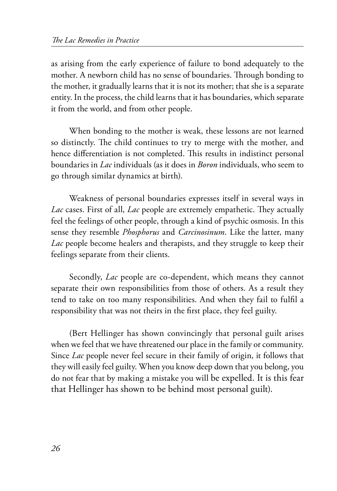as arising from the early experience of failure to bond adequately to the mother. A newborn child has no sense of boundaries. Through bonding to the mother, it gradually learns that it is not its mother; that she is a separate entity. In the process, the child learns that it has boundaries, which separate it from the world, and from other people.

When bonding to the mother is weak, these lessons are not learned so distinctly. The child continues to try to merge with the mother, and hence differentiation is not completed. This results in indistinct personal boundaries in *Lac* individuals (as it does in *Boron* individuals, who seem to go through similar dynamics at birth).

Weakness of personal boundaries expresses itself in several ways in *Lac* cases. First of all, *Lac* people are extremely empathetic. They actually feel the feelings of other people, through a kind of psychic osmosis. In this sense they resemble *Phosphorus* and *Carcinosinum*. Like the latter, many *Lac* people become healers and therapists, and they struggle to keep their feelings separate from their clients.

Secondly, *Lac* people are co-dependent, which means they cannot separate their own responsibilities from those of others. As a result they tend to take on too many responsibilities. And when they fail to fulfil a responsibility that was not theirs in the first place, they feel guilty.

(Bert Hellinger has shown convincingly that personal guilt arises when we feel that we have threatened our place in the family or community. Since *Lac* people never feel secure in their family of origin, it follows that they will easily feel guilty. When you know deep down that you belong, you do not fear that by making a mistake you will be expelled. It is this fear that Hellinger has shown to be behind most personal guilt).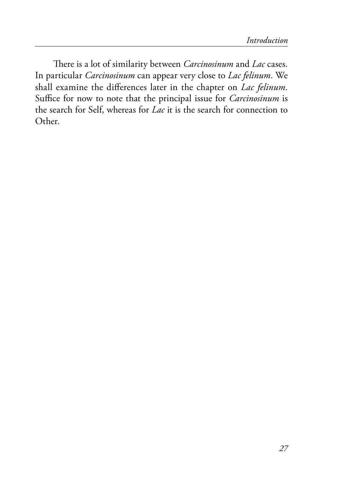There is a lot of similarity between *Carcinosinum* and *Lac* cases. In particular *Carcinosinum* can appear very close to *Lac felinum*. We shall examine the differences later in the chapter on *Lac felinum*. Suffice for now to note that the principal issue for *Carcinosinum* is the search for Self, whereas for *Lac* it is the search for connection to Other.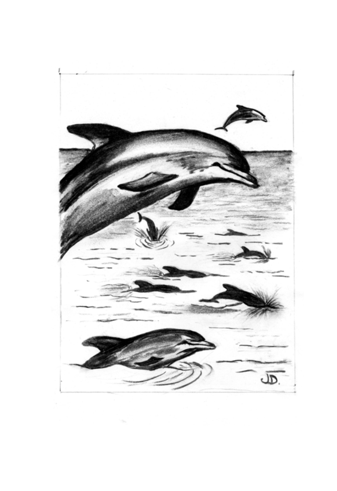